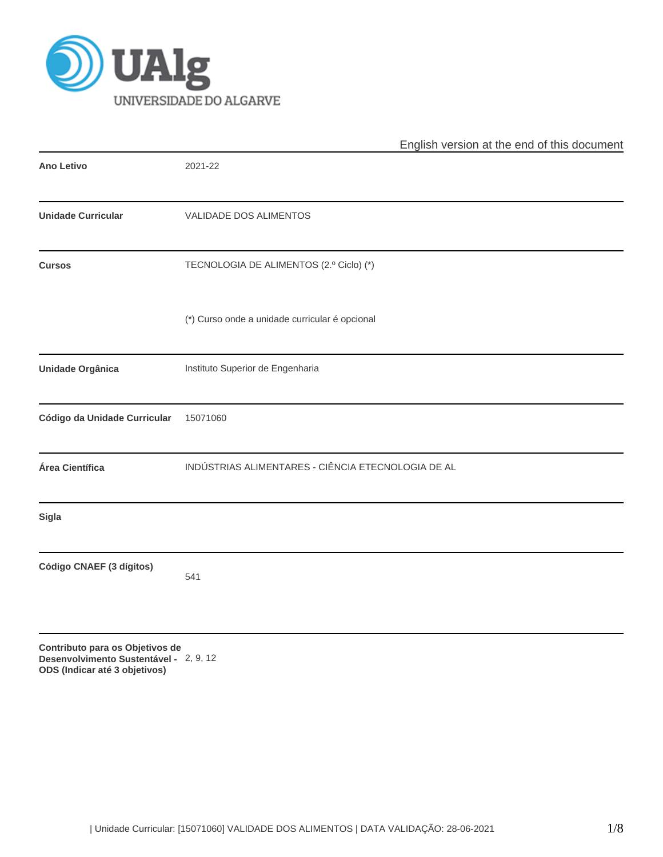

|                                                                                                            | English version at the end of this document        |  |  |  |  |  |  |
|------------------------------------------------------------------------------------------------------------|----------------------------------------------------|--|--|--|--|--|--|
| Ano Letivo                                                                                                 | 2021-22                                            |  |  |  |  |  |  |
| <b>Unidade Curricular</b>                                                                                  | VALIDADE DOS ALIMENTOS                             |  |  |  |  |  |  |
| <b>Cursos</b>                                                                                              | TECNOLOGIA DE ALIMENTOS (2.º Ciclo) (*)            |  |  |  |  |  |  |
|                                                                                                            | (*) Curso onde a unidade curricular é opcional     |  |  |  |  |  |  |
| Unidade Orgânica                                                                                           | Instituto Superior de Engenharia                   |  |  |  |  |  |  |
| Código da Unidade Curricular                                                                               | 15071060                                           |  |  |  |  |  |  |
| Área Científica                                                                                            | INDÚSTRIAS ALIMENTARES - CIÊNCIA ETECNOLOGIA DE AL |  |  |  |  |  |  |
| Sigla                                                                                                      |                                                    |  |  |  |  |  |  |
| Código CNAEF (3 dígitos)                                                                                   | 541                                                |  |  |  |  |  |  |
| Contributo para os Objetivos de<br>Desenvolvimento Sustentável - 2, 9, 12<br>ODS (Indicar até 3 objetivos) |                                                    |  |  |  |  |  |  |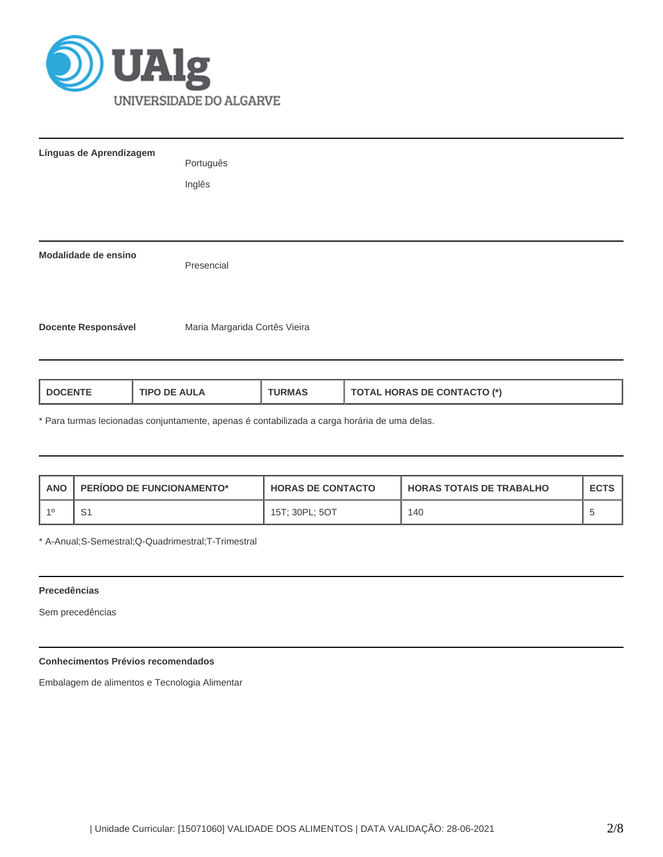

| Línguas de Aprendizagem | Português<br>Inglês           |
|-------------------------|-------------------------------|
| Modalidade de ensino    | Presencial                    |
| Docente Responsável     | Maria Margarida Cortês Vieira |

\* Para turmas lecionadas conjuntamente, apenas é contabilizada a carga horária de uma delas.

| <b>ANO</b> | <b>PERIODO DE FUNCIONAMENTO*</b> | <b>HORAS DE CONTACTO</b> | <b>HORAS TOTAIS DE TRABALHO</b> | <b>ECTS</b> |
|------------|----------------------------------|--------------------------|---------------------------------|-------------|
|            |                                  | 15T; 30PL; 5OT           | 140                             |             |

\* A-Anual;S-Semestral;Q-Quadrimestral;T-Trimestral

# **Precedências**

Sem precedências

# **Conhecimentos Prévios recomendados**

Embalagem de alimentos e Tecnologia Alimentar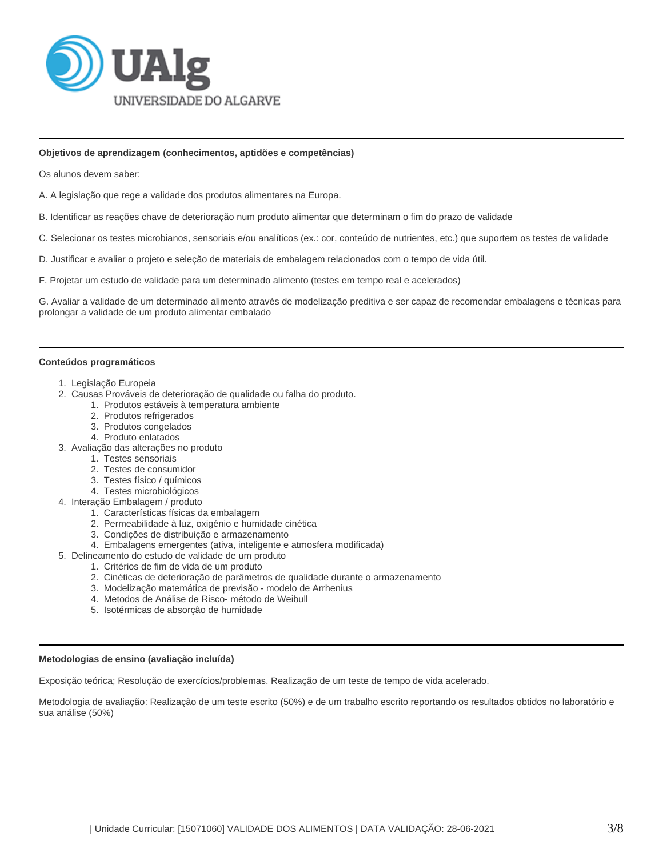

#### **Objetivos de aprendizagem (conhecimentos, aptidões e competências)**

Os alunos devem saber:

A. A legislação que rege a validade dos produtos alimentares na Europa.

B. Identificar as reações chave de deterioração num produto alimentar que determinam o fim do prazo de validade

C. Selecionar os testes microbianos, sensoriais e/ou analíticos (ex.: cor, conteúdo de nutrientes, etc.) que suportem os testes de validade

D. Justificar e avaliar o projeto e seleção de materiais de embalagem relacionados com o tempo de vida útil.

F. Projetar um estudo de validade para um determinado alimento (testes em tempo real e acelerados)

G. Avaliar a validade de um determinado alimento através de modelização preditiva e ser capaz de recomendar embalagens e técnicas para prolongar a validade de um produto alimentar embalado

# **Conteúdos programáticos**

- 1. Legislação Europeia
- 2. Causas Prováveis de deterioração de qualidade ou falha do produto.
	- 1. Produtos estáveis à temperatura ambiente
		- 2. Produtos refrigerados
		- 3. Produtos congelados
		- 4. Produto enlatados
- 3. Avaliação das alterações no produto
	- 1. Testes sensoriais
		- 2. Testes de consumidor
		- 3. Testes físico / químicos
		- 4. Testes microbiológicos
- 4. Interação Embalagem / produto
	- 1. Características físicas da embalagem
	- 2. Permeabilidade à luz, oxigénio e humidade cinética
	- 3. Condições de distribuição e armazenamento
	- 4. Embalagens emergentes (ativa, inteligente e atmosfera modificada)
- 5. Delineamento do estudo de validade de um produto
	- 1. Critérios de fim de vida de um produto
	- 2. Cinéticas de deterioração de parâmetros de qualidade durante o armazenamento
	- 3. Modelização matemática de previsão modelo de Arrhenius
	- 4. Metodos de Análise de Risco- método de Weibull
	- 5. Isotérmicas de absorção de humidade

### **Metodologias de ensino (avaliação incluída)**

Exposição teórica; Resolução de exercícios/problemas. Realização de um teste de tempo de vida acelerado.

Metodologia de avaliação: Realização de um teste escrito (50%) e de um trabalho escrito reportando os resultados obtidos no laboratório e sua análise (50%)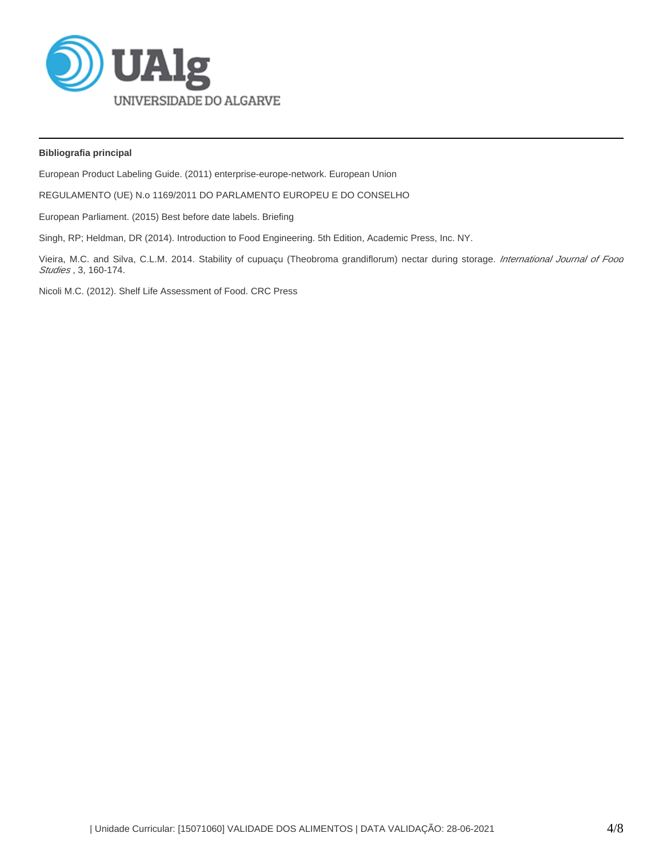

## **Bibliografia principal**

European Product Labeling Guide. (2011) enterprise-europe-network. European Union

REGULAMENTO (UE) N.o 1169/2011 DO PARLAMENTO EUROPEU E DO CONSELHO

European Parliament. (2015) Best before date labels. Briefing

Singh, RP; Heldman, DR (2014). Introduction to Food Engineering. 5th Edition, Academic Press, Inc. NY.

Vieira, M.C. and Silva, C.L.M. 2014. Stability of cupuaçu (Theobroma grandiflorum) nectar during storage. International Journal of Food Studies , 3, 160-174.

Nicoli M.C. (2012). Shelf Life Assessment of Food. CRC Press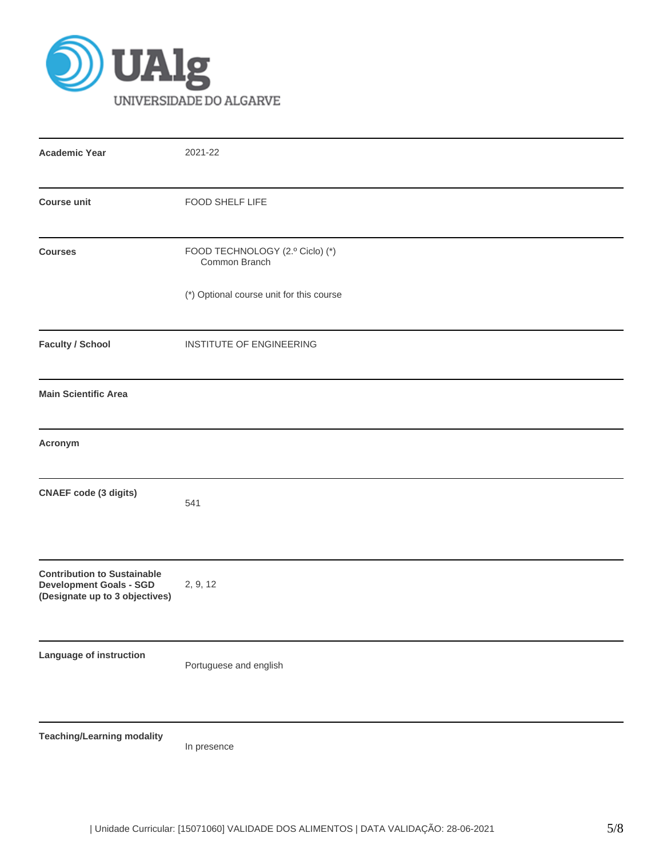

| <b>Academic Year</b>                                                                                   | 2021-22                                          |
|--------------------------------------------------------------------------------------------------------|--------------------------------------------------|
| <b>Course unit</b>                                                                                     | FOOD SHELF LIFE                                  |
| <b>Courses</b>                                                                                         | FOOD TECHNOLOGY (2.º Ciclo) (*)<br>Common Branch |
|                                                                                                        | (*) Optional course unit for this course         |
| <b>Faculty / School</b>                                                                                | INSTITUTE OF ENGINEERING                         |
| <b>Main Scientific Area</b>                                                                            |                                                  |
| Acronym                                                                                                |                                                  |
| <b>CNAEF</b> code (3 digits)                                                                           | 541                                              |
| <b>Contribution to Sustainable</b><br><b>Development Goals - SGD</b><br>(Designate up to 3 objectives) | 2, 9, 12                                         |
| Language of instruction                                                                                | Portuguese and english                           |
| <b>Teaching/Learning modality</b>                                                                      | In presence                                      |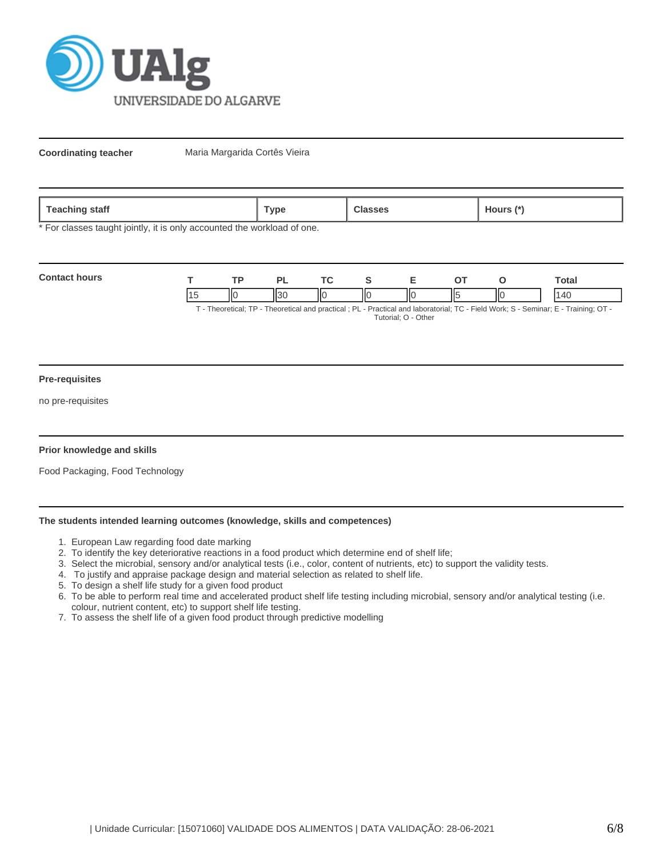

**Coordinating teacher** Maria Margarida Cortês Vieira

| <b>feaching</b><br>staff | ™ype | asses | lours<br>$\mathbf{r}$ |
|--------------------------|------|-------|-----------------------|

\* For classes taught jointly, it is only accounted the workload of one.

| <b>Contact hours</b> | TD. |         |    |   |     |     | `otal                                                                                                                        |
|----------------------|-----|---------|----|---|-----|-----|------------------------------------------------------------------------------------------------------------------------------|
|                      |     | $II$ 30 | ١Ю | Π | ll5 | llС | ١Δ٢                                                                                                                          |
|                      |     |         |    |   |     |     | T. Theoretical: TD. Theoretical and propried : DI. Droptical and laboraterial: TO. Field Warler C. Comings: E. Training: OT. |

T - Theoretical; TP - Theoretical and practical ; PL - Practical and laboratorial; TC - Field Work; S - Seminar; E - Training; OT - Tutorial; O - Other

#### **Pre-requisites**

no pre-requisites

#### **Prior knowledge and skills**

Food Packaging, Food Technology

#### **The students intended learning outcomes (knowledge, skills and competences)**

- 1. European Law regarding food date marking
- 2. To identify the key deteriorative reactions in a food product which determine end of shelf life;
- 3. Select the microbial, sensory and/or analytical tests (i.e., color, content of nutrients, etc) to support the validity tests.
- 4. To justify and appraise package design and material selection as related to shelf life.
- 5. To design a shelf life study for a given food product
- 6. To be able to perform real time and accelerated product shelf life testing including microbial, sensory and/or analytical testing (i.e. colour, nutrient content, etc) to support shelf life testing.
- 7. To assess the shelf life of a given food product through predictive modelling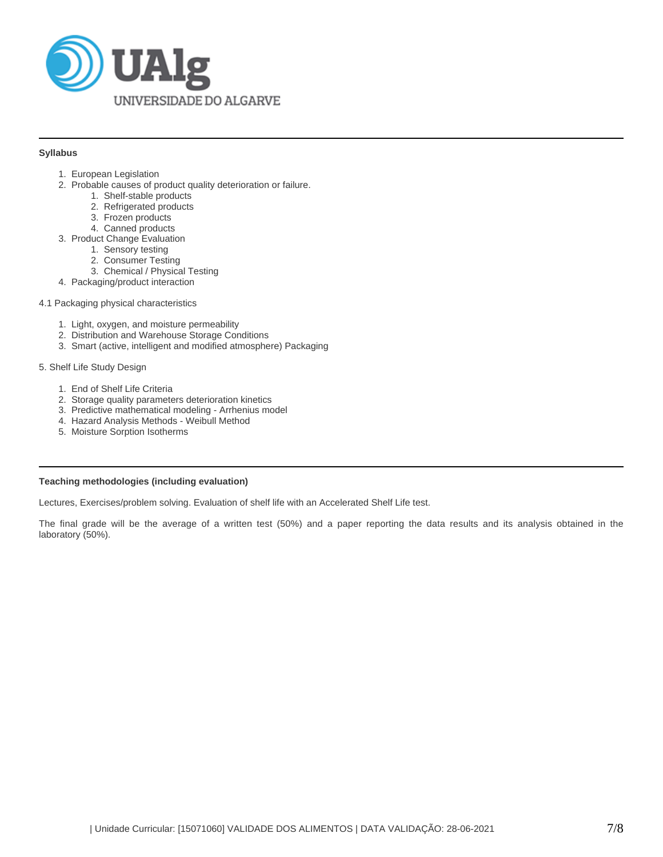

## **Syllabus**

- 1. European Legislation
- 2. Probable causes of product quality deterioration or failure.
	- 1. Shelf-stable products
	- 2. Refrigerated products
	- 3. Frozen products
	- 4. Canned products
- 3. Product Change Evaluation
	- 1. Sensory testing
	- 2. Consumer Testing
	- 3. Chemical / Physical Testing
- 4. Packaging/product interaction
- 4.1 Packaging physical characteristics
	- 1. Light, oxygen, and moisture permeability
	- 2. Distribution and Warehouse Storage Conditions
	- 3. Smart (active, intelligent and modified atmosphere) Packaging
- 5. Shelf Life Study Design
	- 1. End of Shelf Life Criteria
	- 2. Storage quality parameters deterioration kinetics
	- 3. Predictive mathematical modeling Arrhenius model
	- 4. Hazard Analysis Methods Weibull Method
	- 5. Moisture Sorption Isotherms

#### **Teaching methodologies (including evaluation)**

Lectures, Exercises/problem solving. Evaluation of shelf life with an Accelerated Shelf Life test.

The final grade will be the average of a written test (50%) and a paper reporting the data results and its analysis obtained in the laboratory (50%).